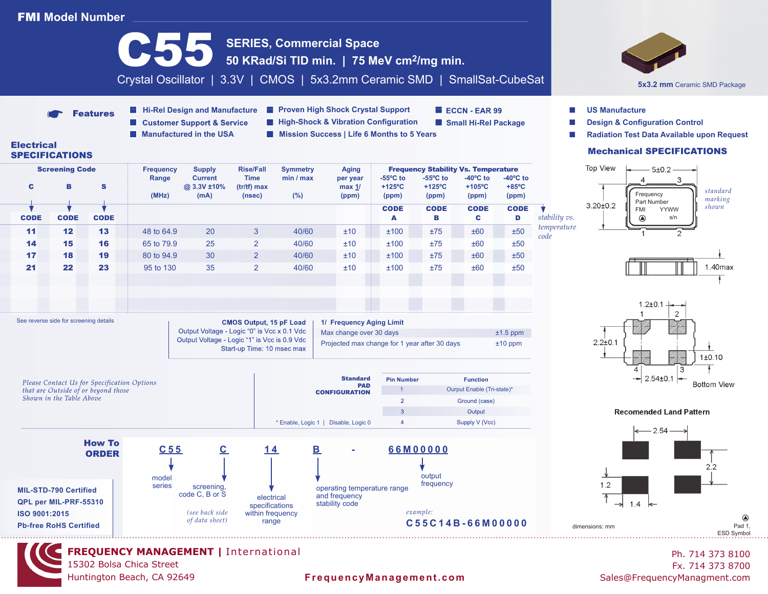## FMI **Model Number**



15302 Bolsa Chica Street Huntington Beach, CA 92649

## **FrequencyManagement.com** Sales@FrequencyManagment.com

Ph. 714 373 8100 Fx. 714 373 8700

 $\circledR$